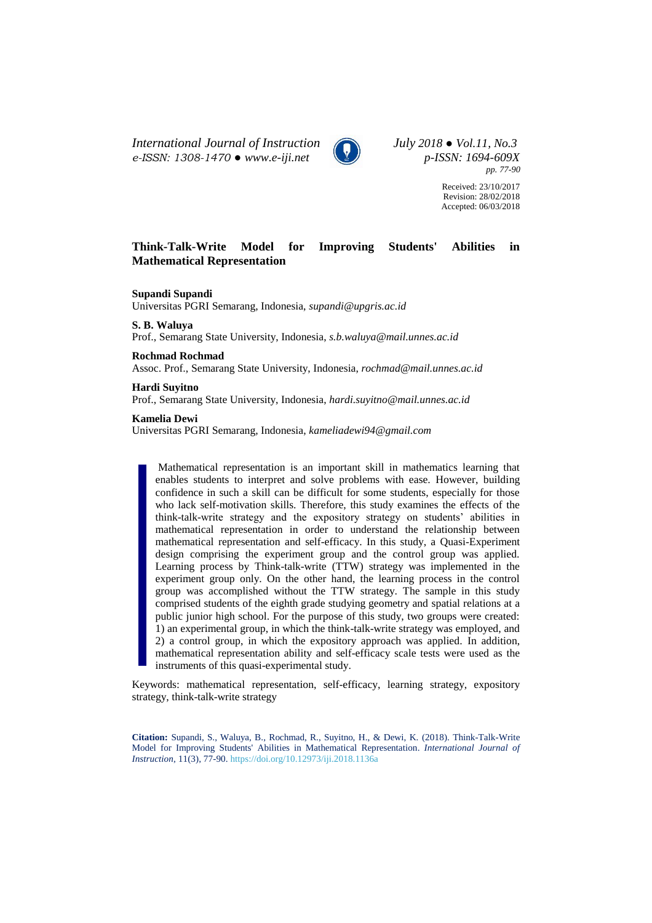*International Journal of Instruction July 2018 ● Vol.11, No.3 e-ISSN: 1308-1470 ● [www.e-iji.net](http://www.e-iji.net/) p-ISSN: 1694-609X*



*pp. 77-90*

Received: 23/10/2017 Revision: 28/02/2018 Accepted: 06/03/2018

# **Think-Talk-Write Model for Improving Students' Abilities in Mathematical Representation**

#### **Supandi Supandi**

Universitas PGRI Semarang, Indonesia, *supandi@upgris.ac.id*

**S. B. Waluya**

Prof., Semarang State University, Indonesia, *s.b.waluya@mail.unnes.ac.id*

### **Rochmad Rochmad**

Assoc. Prof., Semarang State University, Indonesia, *rochmad@mail.unnes.ac.id*

### **Hardi Suyitno**

Prof., Semarang State University, Indonesia, *hardi.suyitno@mail.unnes.ac.id*

#### **Kamelia Dewi**

Universitas PGRI Semarang, Indonesia, *kameliadewi94@gmail.com*

Mathematical representation is an important skill in mathematics learning that enables students to interpret and solve problems with ease. However, building confidence in such a skill can be difficult for some students, especially for those who lack self-motivation skills. Therefore, this study examines the effects of the think-talk-write strategy and the expository strategy on students' abilities in mathematical representation in order to understand the relationship between mathematical representation and self-efficacy. In this study, a Quasi-Experiment design comprising the experiment group and the control group was applied. Learning process by Think-talk-write (TTW) strategy was implemented in the experiment group only. On the other hand, the learning process in the control group was accomplished without the TTW strategy. The sample in this study comprised students of the eighth grade studying geometry and spatial relations at a public junior high school. For the purpose of this study, two groups were created: 1) an experimental group, in which the think-talk-write strategy was employed, and 2) a control group, in which the expository approach was applied. In addition, mathematical representation ability and self-efficacy scale tests were used as the instruments of this quasi-experimental study.

Keywords: mathematical representation, self-efficacy, learning strategy, expository strategy, think-talk-write strategy

**Citation:** Supandi, S., Waluya, B., Rochmad, R., Suyitno, H., & Dewi, K. (2018). Think-Talk-Write Model for Improving Students' Abilities in Mathematical Representation. *International Journal of Instruction*, 11(3), 77-90. <https://doi.org/10.12973/iji.2018.1136a>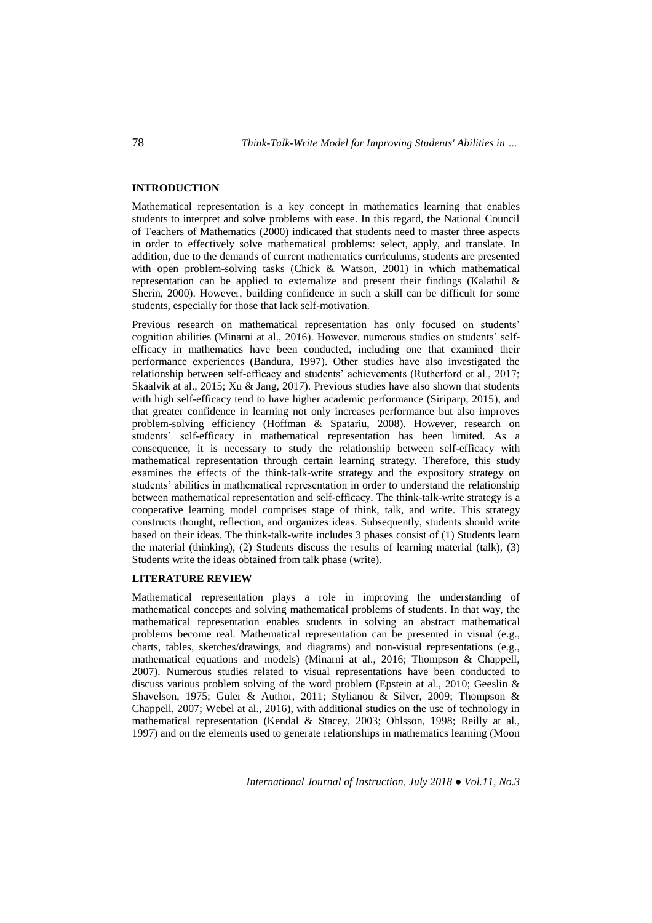## **INTRODUCTION**

Mathematical representation is a key concept in mathematics learning that enables students to interpret and solve problems with ease. In this regard, the National Council of Teachers of Mathematics (2000) indicated that students need to master three aspects in order to effectively solve mathematical problems: select, apply, and translate. In addition, due to the demands of current mathematics curriculums, students are presented with open problem-solving tasks (Chick & Watson, 2001) in which mathematical representation can be applied to externalize and present their findings (Kalathil & Sherin, 2000). However, building confidence in such a skill can be difficult for some students, especially for those that lack self-motivation.

Previous research on mathematical representation has only focused on students' cognition abilities (Minarni at al., 2016). However, numerous studies on students' selfefficacy in mathematics have been conducted, including one that examined their performance experiences (Bandura, 1997). Other studies have also investigated the relationship between self-efficacy and students' achievements (Rutherford et al., 2017; Skaalvik at al., 2015; Xu & Jang, 2017). Previous studies have also shown that students with high self-efficacy tend to have higher academic performance (Siriparp, 2015), and that greater confidence in learning not only increases performance but also improves problem-solving efficiency (Hoffman & Spatariu, 2008). However, research on students' self-efficacy in mathematical representation has been limited. As a consequence, it is necessary to study the relationship between self-efficacy with mathematical representation through certain learning strategy. Therefore, this study examines the effects of the think-talk-write strategy and the expository strategy on students' abilities in mathematical representation in order to understand the relationship between mathematical representation and self-efficacy. The think-talk-write strategy is a cooperative learning model comprises stage of think, talk, and write. This strategy constructs thought, reflection, and organizes ideas. Subsequently, students should write based on their ideas. The think-talk-write includes 3 phases consist of (1) Students learn the material (thinking), (2) Students discuss the results of learning material (talk), (3) Students write the ideas obtained from talk phase (write).

### **LITERATURE REVIEW**

Mathematical representation plays a role in improving the understanding of mathematical concepts and solving mathematical problems of students. In that way, the mathematical representation enables students in solving an abstract mathematical problems become real. Mathematical representation can be presented in visual (e.g., charts, tables, sketches/drawings, and diagrams) and non-visual representations (e.g., mathematical equations and models) (Minarni at al., 2016; Thompson & Chappell, 2007). Numerous studies related to visual representations have been conducted to discuss various problem solving of the word problem (Epstein at al., 2010; Geeslin & Shavelson, 1975; Güler & Author, 2011; Stylianou & Silver, 2009; Thompson & Chappell, 2007; Webel at al., 2016), with additional studies on the use of technology in mathematical representation (Kendal & Stacey, 2003; Ohlsson, 1998; Reilly at al., 1997) and on the elements used to generate relationships in mathematics learning (Moon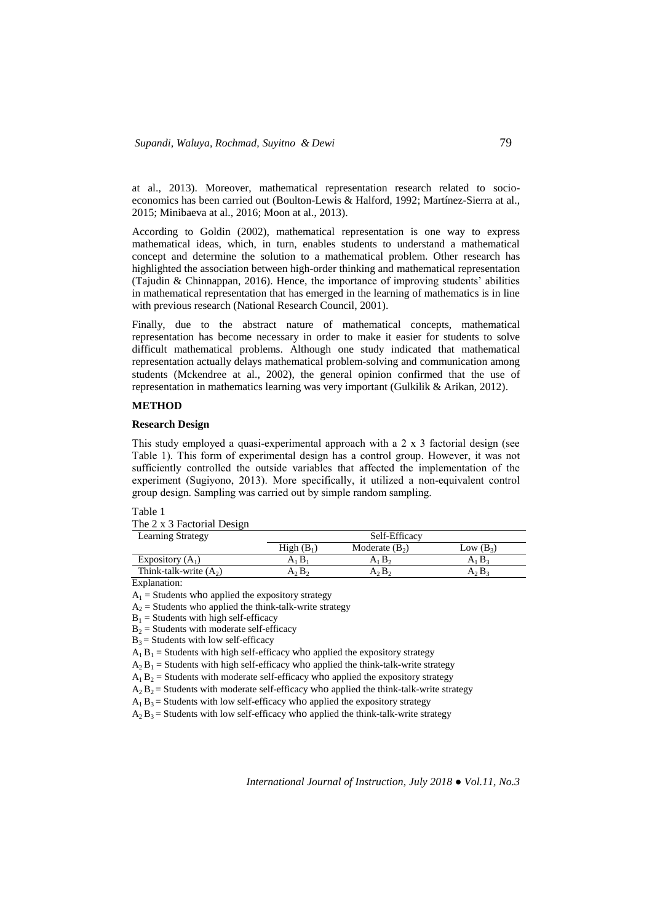at al., 2013). Moreover, mathematical representation research related to socioeconomics has been carried out (Boulton-Lewis & Halford, 1992; Martínez-Sierra at al., 2015; Minibaeva at al., 2016; Moon at al., 2013).

According to Goldin (2002), mathematical representation is one way to express mathematical ideas, which, in turn, enables students to understand a mathematical concept and determine the solution to a mathematical problem. Other research has highlighted the association between high-order thinking and mathematical representation (Tajudin & Chinnappan, 2016). Hence, the importance of improving students' abilities in mathematical representation that has emerged in the learning of mathematics is in line with previous research (National Research Council, 2001).

Finally, due to the abstract nature of mathematical concepts, mathematical representation has become necessary in order to make it easier for students to solve difficult mathematical problems. Although one study indicated that mathematical representation actually delays mathematical problem-solving and communication among students (Mckendree at al., 2002), the general opinion confirmed that the use of representation in mathematics learning was very important (Gulkilik & Arikan, 2012).

### **METHOD**

### **Research Design**

This study employed a quasi-experimental approach with a 2 x 3 factorial design (see Table 1). This form of experimental design has a control group. However, it was not sufficiently controlled the outside variables that affected the implementation of the experiment (Sugiyono, 2013). More specifically, it utilized a non-equivalent control group design. Sampling was carried out by simple random sampling.

## Table 1

|--|

| <b>Learning Strategy</b> |              | Self-Efficacy    |             |  |
|--------------------------|--------------|------------------|-------------|--|
|                          | High $(B_1)$ | Moderate $(B_2)$ | Low $(B_3)$ |  |
| Expository $(A_1)$       | $A_1 B_2$    | $A_1 B_2$        |             |  |
| Think-talk-write $(A_2)$ |              | A2 B2            |             |  |

Explanation:

 $A_1$  = Students who applied the expository strategy

 $A_2$  = Students who applied the think-talk-write strategy

 $B_1$  = Students with high self-efficacy

 $B_2$  = Students with moderate self-efficacy

 $B_3$  = Students with low self-efficacy

 $A_1 B_1$  = Students with high self-efficacy who applied the expository strategy

 $A_2 B_1$  = Students with high self-efficacy who applied the think-talk-write strategy

 $A_1 B_2$  = Students with moderate self-efficacy who applied the expository strategy

 $A_2 B_2$  = Students with moderate self-efficacy who applied the think-talk-write strategy

 $A_1 B_3$  = Students with low self-efficacy who applied the expository strategy

 $A_2 B_3$  = Students with low self-efficacy who applied the think-talk-write strategy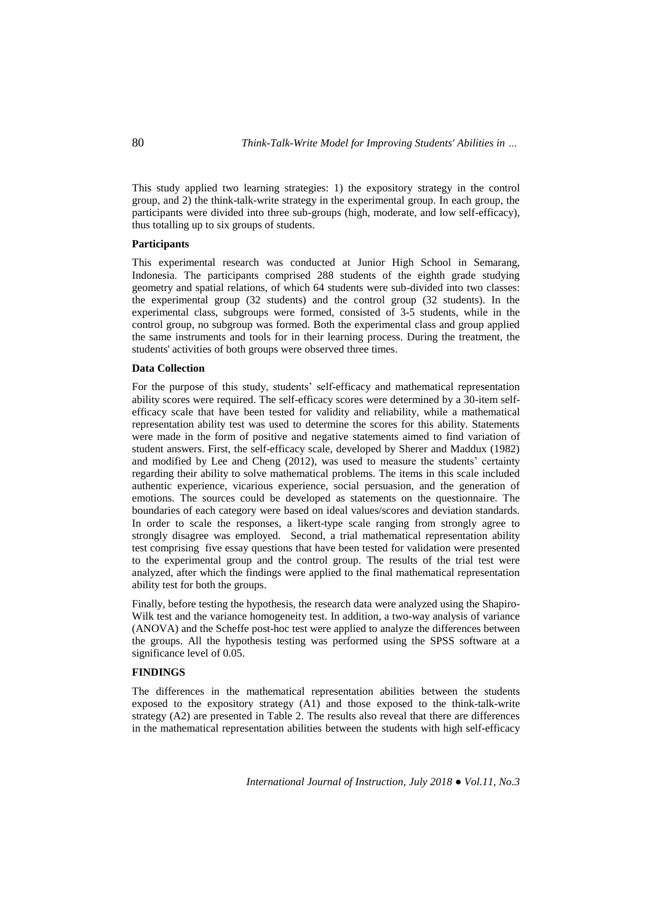This study applied two learning strategies: 1) the expository strategy in the control group, and 2) the think-talk-write strategy in the experimental group. In each group, the participants were divided into three sub-groups (high, moderate, and low self-efficacy), thus totalling up to six groups of students.

### **Participants**

This experimental research was conducted at Junior High School in Semarang, Indonesia. The participants comprised 288 students of the eighth grade studying geometry and spatial relations, of which 64 students were sub-divided into two classes: the experimental group (32 students) and the control group (32 students). In the experimental class, subgroups were formed, consisted of 3-5 students, while in the control group, no subgroup was formed. Both the experimental class and group applied the same instruments and tools for in their learning process. During the treatment, the students' activities of both groups were observed three times.

### **Data Collection**

For the purpose of this study, students' self-efficacy and mathematical representation ability scores were required. The self-efficacy scores were determined by a 30-item selfefficacy scale that have been tested for validity and reliability, while a mathematical representation ability test was used to determine the scores for this ability. Statements were made in the form of positive and negative statements aimed to find variation of student answers. First, the self-efficacy scale, developed by Sherer and Maddux (1982) and modified by Lee and Cheng (2012), was used to measure the students' certainty regarding their ability to solve mathematical problems. The items in this scale included authentic experience, vicarious experience, social persuasion, and the generation of emotions. The sources could be developed as statements on the questionnaire. The boundaries of each category were based on ideal values/scores and deviation standards. In order to scale the responses, a likert-type scale ranging from strongly agree to strongly disagree was employed. Second, a trial mathematical representation ability test comprising five essay questions that have been tested for validation were presented to the experimental group and the control group. The results of the trial test were analyzed, after which the findings were applied to the final mathematical representation ability test for both the groups.

Finally, before testing the hypothesis, the research data were analyzed using the Shapiro-Wilk test and the variance homogeneity test. In addition, a two-way analysis of variance (ANOVA) and the Scheffe post-hoc test were applied to analyze the differences between the groups. All the hypothesis testing was performed using the SPSS software at a significance level of 0.05.

# **FINDINGS**

The differences in the mathematical representation abilities between the students exposed to the expository strategy  $(A1)$  and those exposed to the think-talk-write strategy (A2) are presented in Table 2. The results also reveal that there are differences in the mathematical representation abilities between the students with high self-efficacy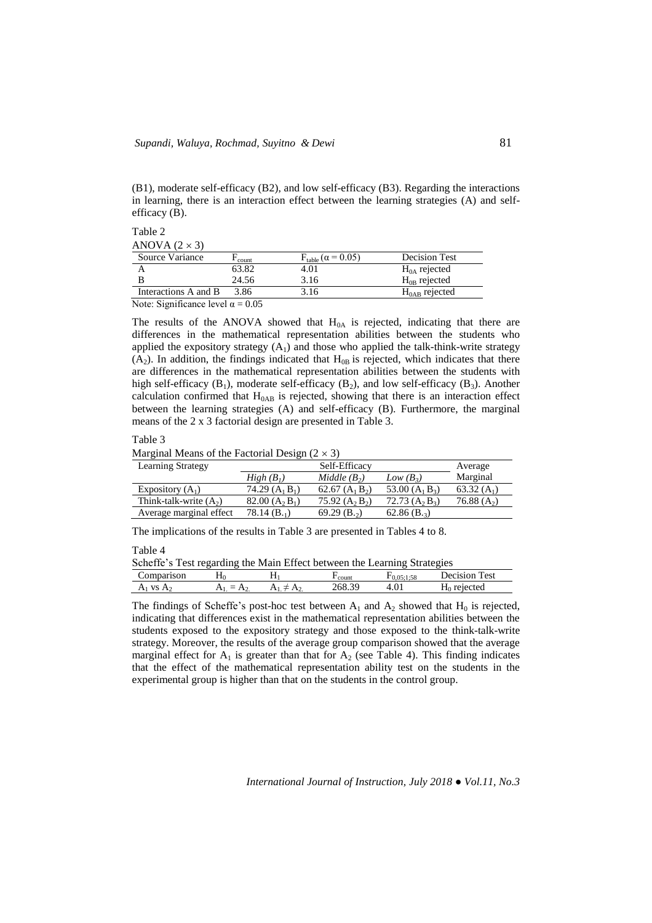(B1), moderate self-efficacy (B2), and low self-efficacy (B3). Regarding the interactions in learning, there is an interaction effect between the learning strategies (A) and selfefficacy (B).

Table 2 ANOVA  $(2 \times 3)$ Source Variance  $F_{\text{count}}$   $F_{\text{table}} (\alpha = 0.05)$  Decision Test A 63.82 4.01  $H_{0A}$  rejected<br>B 24.56 3.16  $H_{0B}$  rejected  $\frac{24.56}{3.86}$   $\frac{3.16}{3.16}$  H<sub>0B</sub> rejected Interactions A and B

Note: Significance level  $\alpha = 0.05$ 

The results of the ANOVA showed that  $H_{0A}$  is rejected, indicating that there are differences in the mathematical representation abilities between the students who applied the expository strategy  $(A_1)$  and those who applied the talk-think-write strategy  $(A<sub>2</sub>)$ . In addition, the findings indicated that  $H<sub>OB</sub>$  is rejected, which indicates that there are differences in the mathematical representation abilities between the students with high self-efficacy  $(B_1)$ , moderate self-efficacy  $(B_2)$ , and low self-efficacy  $(B_3)$ . Another calculation confirmed that  $H_{0AB}$  is rejected, showing that there is an interaction effect between the learning strategies (A) and self-efficacy (B). Furthermore, the marginal means of the 2 x 3 factorial design are presented in Table 3.

Table 3

Marginal Means of the Factorial Design  $(2 \times 3)$ 

| <b>Learning Strategy</b> |                            | Self-Efficacy     |                   | Average       |
|--------------------------|----------------------------|-------------------|-------------------|---------------|
|                          | High(B <sub>1</sub> )      | Middle $(B_2)$    | $Low(B_3)$        | Marginal      |
| Expository $(A_1)$       | 74.29 $(A_1 B_1)$          | 62.67 $(A_1 B_2)$ | 53.00 $(A_1 B_3)$ | 63.32 $(A_1)$ |
| Think-talk-write $(A_2)$ | 82.00 $(A_2 B_1)$          | 75.92 $(A, B_2)$  | 72.73 $(A_2 B_3)$ | 76.88 $(A_2)$ |
| Average marginal effect  | $78.14$ (B <sub>-1</sub> ) | 69.29 $(B_{22})$  | 62.86 $(B_{.3})$  |               |

The implications of the results in Table 3 are presented in Tables 4 to 8.

Table 4

Scheffe's Test regarding the Main Effect between the Learning Strategies

| .                                                      | . .                                         | .                              | count         | $\sim$ $\sim$<br>$\sim$ $-$<br>$v \cdot v \cdot u \cdot u$ | est<br><b>CISION</b><br>۱Δ |
|--------------------------------------------------------|---------------------------------------------|--------------------------------|---------------|------------------------------------------------------------|----------------------------|
| T<br>$\overline{1}$<br>$\overline{\phantom{a}}$<br>. . | $\overline{\phantom{a}}$<br>. .<br><u>.</u> | . .<br>. .<br><b>L.</b><br>. . | $\sim$<br>. . | 7.VI                                                       |                            |

The findings of Scheffe's post-hoc test between  $A_1$  and  $A_2$  showed that  $H_0$  is rejected, indicating that differences exist in the mathematical representation abilities between the students exposed to the expository strategy and those exposed to the think-talk-write strategy. Moreover, the results of the average group comparison showed that the average marginal effect for  $A_1$  is greater than that for  $A_2$  (see Table 4). This finding indicates that the effect of the mathematical representation ability test on the students in the experimental group is higher than that on the students in the control group.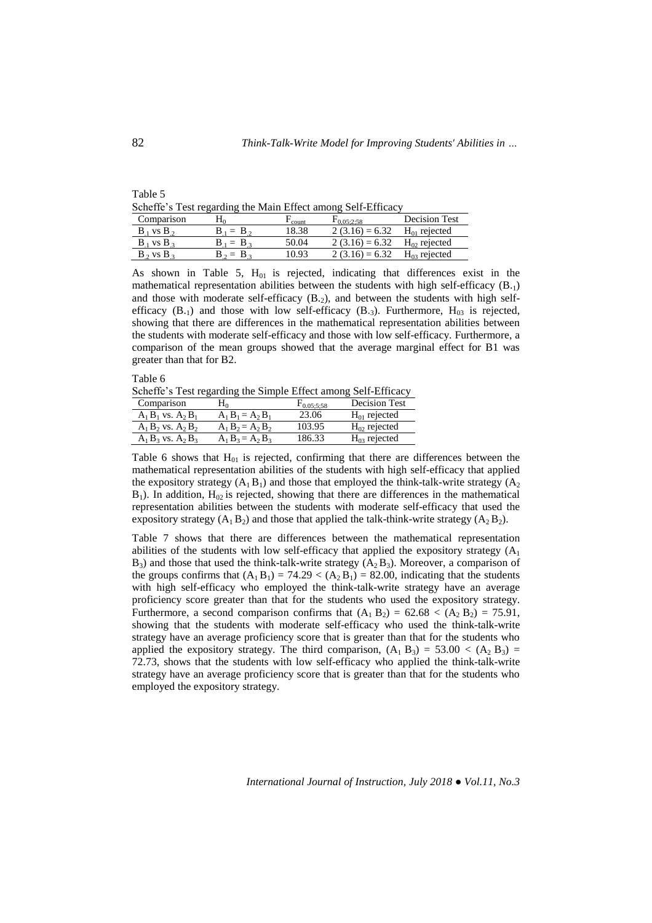| $1$ avit $\cup$                                              |  |
|--------------------------------------------------------------|--|
| Scheffe's Test regarding the Main Effect among Self-Efficacy |  |

| Comparison     | п٥                                              | count | $\Gamma_{0.05:2:58}$ | <b>Decision Test</b> |
|----------------|-------------------------------------------------|-------|----------------------|----------------------|
| $B_1$ vs $B_2$ | $3_{1} = 18_{2}$                                | 18.38 | $2(3.16) = 6.32$     | $H_{01}$ rejected    |
| $B_1$ vs $B_3$ | $B_1 = B_2$                                     | 50.04 | $2(3.16) = 6.32$     | $H_{02}$ rejected    |
| $B_2$ vs $B_3$ | $\mathbf{5} \mathbf{1} = \mathbf{5} \mathbf{3}$ | 10.93 | $2(3.16) = 6.32$     | $H_{03}$ rejected    |

As shown in Table 5,  $H_{01}$  is rejected, indicating that differences exist in the mathematical representation abilities between the students with high self-efficacy  $(B_{1})$ and those with moderate self-efficacy  $(B_2)$ , and between the students with high selfefficacy  $(B_{-1})$  and those with low self-efficacy  $(B_{-3})$ . Furthermore,  $H_{03}$  is rejected, showing that there are differences in the mathematical representation abilities between the students with moderate self-efficacy and those with low self-efficacy. Furthermore, a comparison of the mean groups showed that the average marginal effect for B1 was greater than that for B2.

| . .<br>۰.<br>ı |  |
|----------------|--|
|----------------|--|

Scheffe's Test regarding the Simple Effect among Self-Efficacy

| Comparison              | $H_0$               | $F_{0.05:5:58}$ | <b>Decision Test</b> |
|-------------------------|---------------------|-----------------|----------------------|
| $A_1 B_1$ vs. $A_2 B_1$ | $A_1 B_1 = A_2 B_1$ | 23.06           | $H_{01}$ rejected    |
| $A_1 B_2$ vs. $A_2 B_2$ | $A_1 B_2 = A_2 B_2$ | 103.95          | $H_{02}$ rejected    |
| $A_1 B_3$ vs. $A_2 B_3$ | $A_1 B_3 = A_2 B_3$ | 186.33          | $H_{03}$ rejected    |

Table 6 shows that  $H_{01}$  is rejected, confirming that there are differences between the mathematical representation abilities of the students with high self-efficacy that applied the expository strategy  $(A_1 B_1)$  and those that employed the think-talk-write strategy  $(A_2$  $B_1$ ). In addition,  $H_{02}$  is rejected, showing that there are differences in the mathematical representation abilities between the students with moderate self-efficacy that used the expository strategy  $(A_1 B_2)$  and those that applied the talk-think-write strategy  $(A_2 B_2)$ .

Table 7 shows that there are differences between the mathematical representation abilities of the students with low self-efficacy that applied the expository strategy  $(A<sub>1</sub>$  $B_3$ ) and those that used the think-talk-write strategy ( $A_2 B_3$ ). Moreover, a comparison of the groups confirms that  $(A_1 B_1) = 74.29 < (A_2 B_1) = 82.00$ , indicating that the students with high self-efficacy who employed the think-talk-write strategy have an average proficiency score greater than that for the students who used the expository strategy. Furthermore, a second comparison confirms that  $(A_1 B_2) = 62.68 < (A_2 B_2) = 75.91$ , showing that the students with moderate self-efficacy who used the think-talk-write strategy have an average proficiency score that is greater than that for the students who applied the expository strategy. The third comparison,  $(A_1 B_3) = 53.00 < (A_2 B_3) =$ 72.73, shows that the students with low self-efficacy who applied the think-talk-write strategy have an average proficiency score that is greater than that for the students who employed the expository strategy.

*International Journal of Instruction, July 2018 ● Vol.11, No.3*

 $Table 5$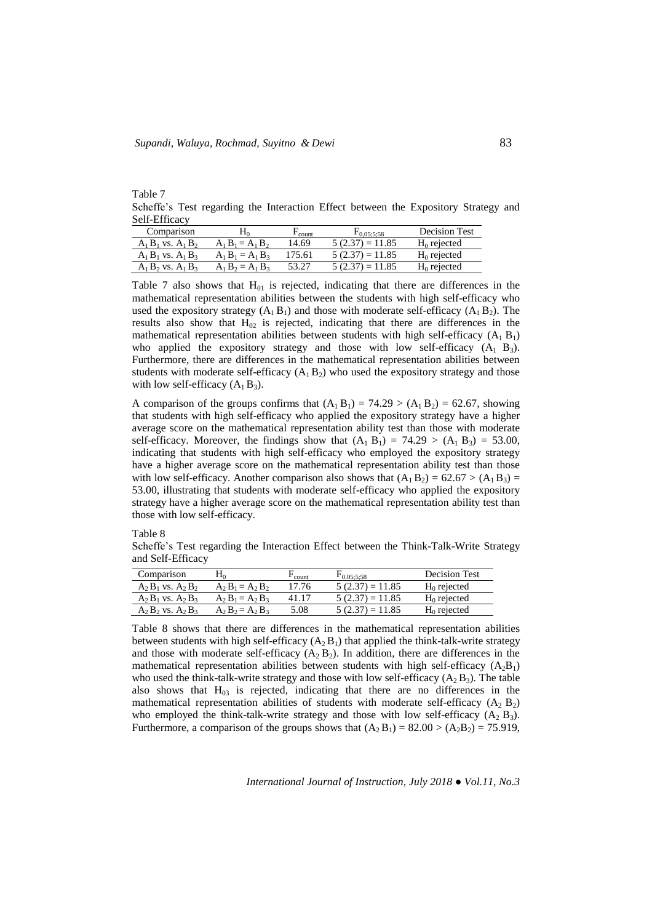Table 7

Scheffe's Test regarding the Interaction Effect between the Expository Strategy and Self-Efficacy

| Comparison              | Ħ۵                  | count  | $F_{0.05:5:58}$   | <b>Decision Test</b> |
|-------------------------|---------------------|--------|-------------------|----------------------|
| $A_1 B_1$ vs. $A_1 B_2$ | $A_1 B_1 = A_1 B_2$ | 14.69  | $5(2.37) = 11.85$ | $H_0$ rejected       |
| $A_1 B_1$ vs. $A_1 B_3$ | $A_1 B_1 = A_1 B_2$ | 175.61 | $5(2.37) = 11.85$ | $H_0$ rejected       |
| $A_1 B_2$ vs. $A_1 B_3$ | $A_1 B_2 = A_1 B_3$ | 53.27  | $5(2.37) = 11.85$ | $H_0$ rejected       |

Table 7 also shows that  $H_{01}$  is rejected, indicating that there are differences in the mathematical representation abilities between the students with high self-efficacy who used the expository strategy  $(A_1 B_1)$  and those with moderate self-efficacy  $(A_1 B_2)$ . The results also show that  $H_{02}$  is rejected, indicating that there are differences in the mathematical representation abilities between students with high self-efficacy  $(A_1 B_1)$ who applied the expository strategy and those with low self-efficacy  $(A_1 \ B_3)$ . Furthermore, there are differences in the mathematical representation abilities between students with moderate self-efficacy  $(A_1 B_2)$  who used the expository strategy and those with low self-efficacy  $(A_1 B_3)$ .

A comparison of the groups confirms that  $(A_1 B_1) = 74.29 > (A_1 B_2) = 62.67$ , showing that students with high self-efficacy who applied the expository strategy have a higher average score on the mathematical representation ability test than those with moderate self-efficacy. Moreover, the findings show that  $(A_1 B_1) = 74.29 > (A_1 B_3) = 53.00$ , indicating that students with high self-efficacy who employed the expository strategy have a higher average score on the mathematical representation ability test than those with low self-efficacy. Another comparison also shows that  $(A_1 B_2) = 62.67 > (A_1 B_3) =$ 53.00, illustrating that students with moderate self-efficacy who applied the expository strategy have a higher average score on the mathematical representation ability test than those with low self-efficacy.

### Table 8

Scheffe's Test regarding the Interaction Effect between the Think-Talk-Write Strategy and Self-Efficacy

| Comparison              | H۵                  | `count | $F_{0.05:5:58}$  | <b>Decision Test</b> |
|-------------------------|---------------------|--------|------------------|----------------------|
| $A_2 B_1$ vs. $A_2 B_2$ | $A_2B_1 = A_2B_2$   | 17.76  | $(2.37) = 11.85$ | $H_0$ rejected       |
| $A_2 B_1$ vs. $A_2 B_3$ | $A_2B_1 = A_2B_3$   | 41.17  | $(2.37) = 11.85$ | $H_0$ rejected       |
| $A_2 B_2$ vs. $A_2 B_3$ | $A_2 B_2 = A_2 B_3$ | 5.08   | $(2.37) = 11.85$ | $H_0$ rejected       |

Table 8 shows that there are differences in the mathematical representation abilities between students with high self-efficacy  $(A_2 B_1)$  that applied the think-talk-write strategy and those with moderate self-efficacy  $(A_2 B_2)$ . In addition, there are differences in the mathematical representation abilities between students with high self-efficacy  $(A_2B_1)$ who used the think-talk-write strategy and those with low self-efficacy  $(A_2 B_3)$ . The table also shows that  $H_{03}$  is rejected, indicating that there are no differences in the mathematical representation abilities of students with moderate self-efficacy  $(A_2 B_2)$ who employed the think-talk-write strategy and those with low self-efficacy  $(A_2 B_3)$ . Furthermore, a comparison of the groups shows that  $(A_2 B_1) = 82.00 > (A_2 B_2) = 75.919$ ,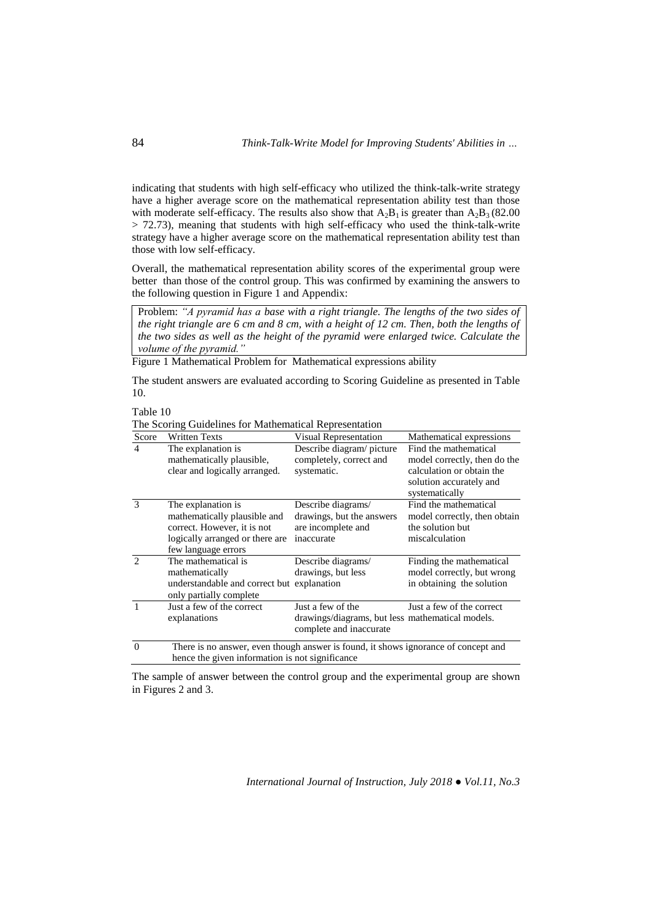indicating that students with high self-efficacy who utilized the think-talk-write strategy have a higher average score on the mathematical representation ability test than those with moderate self-efficacy. The results also show that  $A_2B_1$  is greater than  $A_2B_3$  (82.00) > 72.73), meaning that students with high self-efficacy who used the think-talk-write strategy have a higher average score on the mathematical representation ability test than those with low self-efficacy.

Overall, the mathematical representation ability scores of the experimental group were better than those of the control group. This was confirmed by examining the answers to the following question in Figure 1 and Appendix:

Problem: *"A pyramid has a base with a right triangle. The lengths of the two sides of the right triangle are 6 cm and 8 cm, with a height of 12 cm. Then, both the lengths of the two sides as well as the height of the pyramid were enlarged twice. Calculate the volume of the pyramid."*

Figure 1 Mathematical Problem for Mathematical expressions ability

The student answers are evaluated according to Scoring Guideline as presented in Table 10.

Table 10<br>The Secri-

|                             | The Scoring Guidelines for Mathematical Representation                             |                                                  |                                           |
|-----------------------------|------------------------------------------------------------------------------------|--------------------------------------------------|-------------------------------------------|
| Score                       | <b>Written Texts</b>                                                               | <b>Visual Representation</b>                     | Mathematical expressions                  |
| 4                           | The explanation is                                                                 | Describe diagram/picture                         | Find the mathematical                     |
|                             | mathematically plausible,                                                          | completely, correct and                          | model correctly, then do the              |
|                             | clear and logically arranged.                                                      | systematic.                                      | calculation or obtain the                 |
|                             |                                                                                    |                                                  | solution accurately and<br>systematically |
| $\mathbf{3}$                | The explanation is                                                                 | Describe diagrams/                               | Find the mathematical                     |
|                             | mathematically plausible and                                                       | drawings, but the answers                        | model correctly, then obtain              |
|                             | correct. However, it is not                                                        | are incomplete and                               | the solution but                          |
|                             | logically arranged or there are                                                    | inaccurate                                       | miscalculation                            |
|                             | few language errors                                                                |                                                  |                                           |
| $\mathcal{D}_{\mathcal{L}}$ | The mathematical is                                                                | Describe diagrams/                               | Finding the mathematical                  |
|                             | mathematically                                                                     | drawings, but less                               | model correctly, but wrong                |
|                             | understandable and correct but explanation                                         |                                                  | in obtaining the solution                 |
|                             | only partially complete                                                            |                                                  |                                           |
|                             | Just a few of the correct                                                          | Just a few of the                                | Just a few of the correct                 |
|                             | explanations                                                                       | drawings/diagrams, but less mathematical models. |                                           |
|                             |                                                                                    | complete and inaccurate                          |                                           |
| $\Omega$                    | There is no answer, even though answer is found, it shows ignorance of concept and |                                                  |                                           |
|                             | hence the given information is not significance                                    |                                                  |                                           |

The Scoring Guidelines for Mathematical Representation

The sample of answer between the control group and the experimental group are shown in Figures 2 and 3.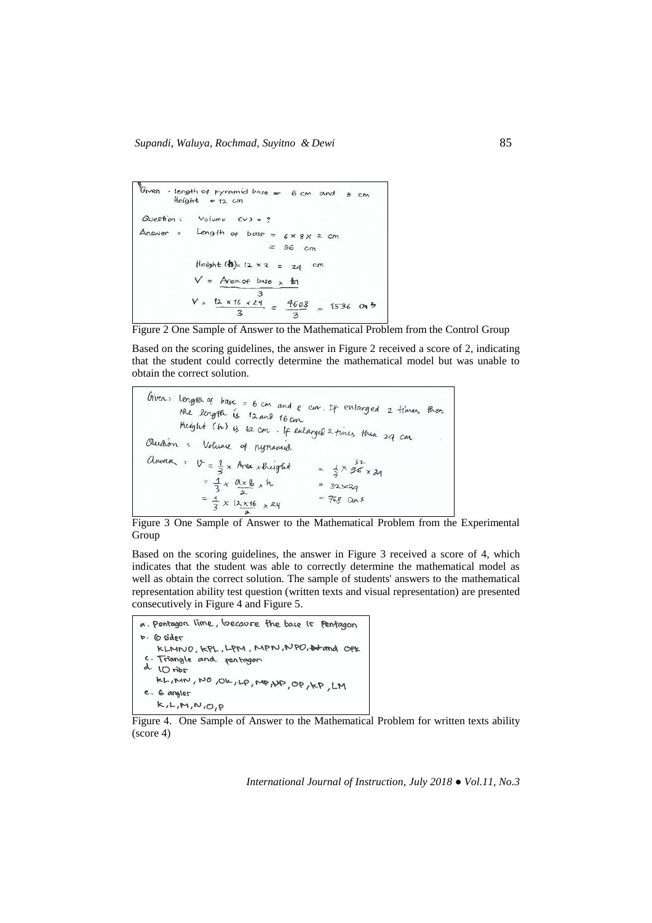```
Given · length of pyramid base = 6 cm and B cm
       Height = 12 cm
Question:
            Volume CV = ?Answer = Length of base = 6 \times 8 \times 2 cm
                             = 96 cm
            Height (b)= 12 x 2 = 24 cm
            V = Area of base x \pm hV = \frac{3}{2 \times 16 \times 24} = \frac{4608}{3} = 1536 on b
```
Figure 2 One Sample of Answer to the Mathematical Problem from the Control Group

Based on the scoring guidelines, the answer in Figure 2 received a score of 2, indicating that the student could correctly determine the mathematical model but was unable to obtain the correct solution.

```
biven: length of base = 6 cm and e cm. If enlarged 2 times then
                   the length is 12 and 16 cm
the length is 12 cm. If enlarged 2 times then 29 cm<br>Buchon = Volume of ny ramid<br>Anone = V = \frac{1}{3} \times Area x height = \frac{1}{3} \times 3\frac{32}{36} \times 34<br>= \frac{1}{3} \times \frac{a \times b}{a} \times h = \frac{32 \times 24}{32 \times 24}<br>= \frac{4}{3} \times 12 \times 16 \times
```
Figure 3 One Sample of Answer to the Mathematical Problem from the Experimental Group

Based on the scoring guidelines, the answer in Figure 3 received a score of 4, which indicates that the student was able to correctly determine the mathematical model as well as obtain the correct solution. The sample of students' answers to the mathematical representation ability test question (written texts and visual representation) are presented consecutively in Figure 4 and Figure 5.

```
a. Pentagon lime, because the base is Pentagon
p. 6 sider
   KLMNO, KPL, LPM, MPN, NPO, Hand OPK
 c. Triangle and pentagon
d. 10 \frac{1}{2}KL, MW, NO, OL, HP, MAN, OD, KP, LM
 e. 6 angles
   K,L,M,N,0,p
```
Figure 4. One Sample of Answer to the Mathematical Problem for written texts ability (score 4)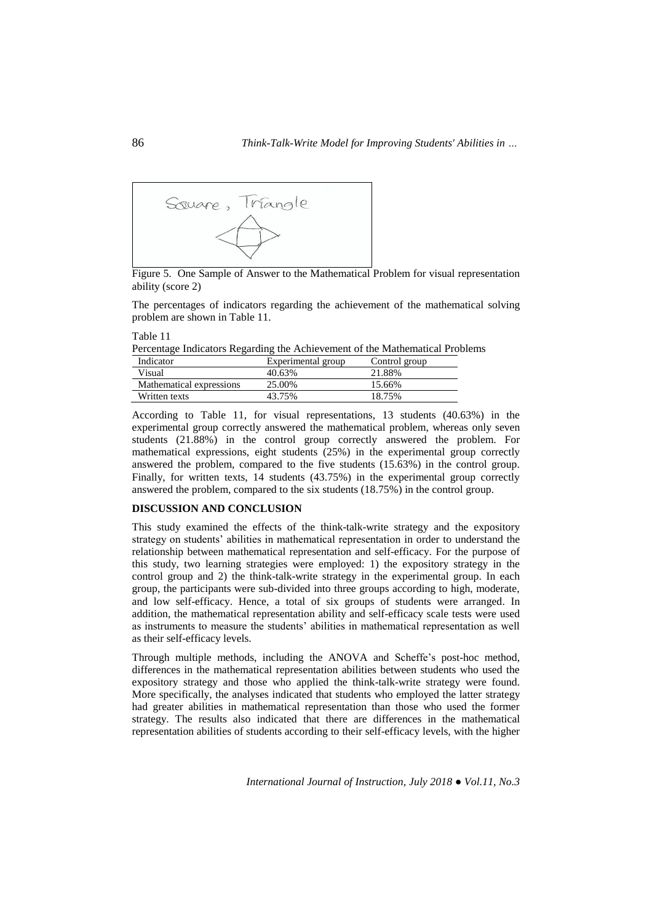

Figure 5. One Sample of Answer to the Mathematical Problem for visual representation ability (score 2)

The percentages of indicators regarding the achievement of the mathematical solving problem are shown in Table 11.

Table 11

Percentage Indicators Regarding the Achievement of the Mathematical Problems

| Indicator                | Experimental group | Control group |
|--------------------------|--------------------|---------------|
| Visual                   | 40.63%             | 21.88%        |
| Mathematical expressions | 25.00%             | 15.66%        |
| Written texts            | 43.75%             | 18.75%        |

According to Table 11, for visual representations, 13 students (40.63%) in the experimental group correctly answered the mathematical problem, whereas only seven students (21.88%) in the control group correctly answered the problem. For mathematical expressions, eight students (25%) in the experimental group correctly answered the problem, compared to the five students (15.63%) in the control group. Finally, for written texts, 14 students (43.75%) in the experimental group correctly answered the problem, compared to the six students (18.75%) in the control group.

## **DISCUSSION AND CONCLUSION**

This study examined the effects of the think-talk-write strategy and the expository strategy on students' abilities in mathematical representation in order to understand the relationship between mathematical representation and self-efficacy. For the purpose of this study, two learning strategies were employed: 1) the expository strategy in the control group and 2) the think-talk-write strategy in the experimental group. In each group, the participants were sub-divided into three groups according to high, moderate, and low self-efficacy. Hence, a total of six groups of students were arranged. In addition, the mathematical representation ability and self-efficacy scale tests were used as instruments to measure the students' abilities in mathematical representation as well as their self-efficacy levels.

Through multiple methods, including the ANOVA and Scheffe's post-hoc method, differences in the mathematical representation abilities between students who used the expository strategy and those who applied the think-talk-write strategy were found. More specifically, the analyses indicated that students who employed the latter strategy had greater abilities in mathematical representation than those who used the former strategy. The results also indicated that there are differences in the mathematical representation abilities of students according to their self-efficacy levels, with the higher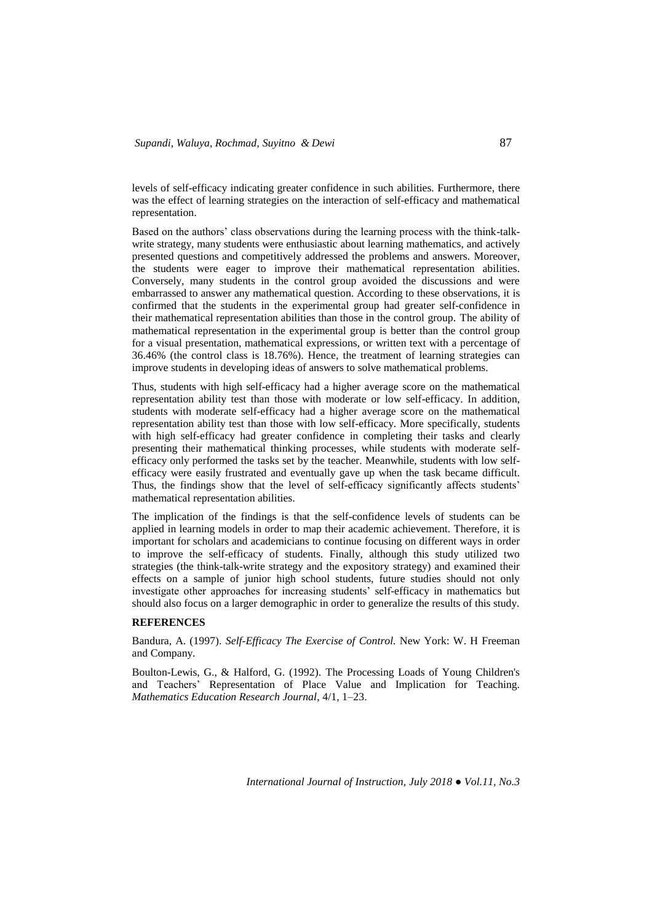levels of self-efficacy indicating greater confidence in such abilities. Furthermore, there was the effect of learning strategies on the interaction of self-efficacy and mathematical representation.

Based on the authors' class observations during the learning process with the think-talkwrite strategy, many students were enthusiastic about learning mathematics, and actively presented questions and competitively addressed the problems and answers. Moreover, the students were eager to improve their mathematical representation abilities. Conversely, many students in the control group avoided the discussions and were embarrassed to answer any mathematical question. According to these observations, it is confirmed that the students in the experimental group had greater self-confidence in their mathematical representation abilities than those in the control group. The ability of mathematical representation in the experimental group is better than the control group for a visual presentation, mathematical expressions, or written text with a percentage of 36.46% (the control class is 18.76%). Hence, the treatment of learning strategies can improve students in developing ideas of answers to solve mathematical problems.

Thus, students with high self-efficacy had a higher average score on the mathematical representation ability test than those with moderate or low self-efficacy. In addition, students with moderate self-efficacy had a higher average score on the mathematical representation ability test than those with low self-efficacy. More specifically, students with high self-efficacy had greater confidence in completing their tasks and clearly presenting their mathematical thinking processes, while students with moderate selfefficacy only performed the tasks set by the teacher. Meanwhile, students with low selfefficacy were easily frustrated and eventually gave up when the task became difficult. Thus, the findings show that the level of self-efficacy significantly affects students' mathematical representation abilities.

The implication of the findings is that the self-confidence levels of students can be applied in learning models in order to map their academic achievement. Therefore, it is important for scholars and academicians to continue focusing on different ways in order to improve the self-efficacy of students. Finally, although this study utilized two strategies (the think-talk-write strategy and the expository strategy) and examined their effects on a sample of junior high school students, future studies should not only investigate other approaches for increasing students' self-efficacy in mathematics but should also focus on a larger demographic in order to generalize the results of this study.

## **REFERENCES**

Bandura, A. (1997). *Self-Efficacy The Exercise of Control.* New York: W. H Freeman and Company.

Boulton-Lewis, G., & Halford, G. (1992). The Processing Loads of Young Children's and Teachers' Representation of Place Value and Implication for Teaching. *Mathematics Education Research Journal*, 4/1, 1–23.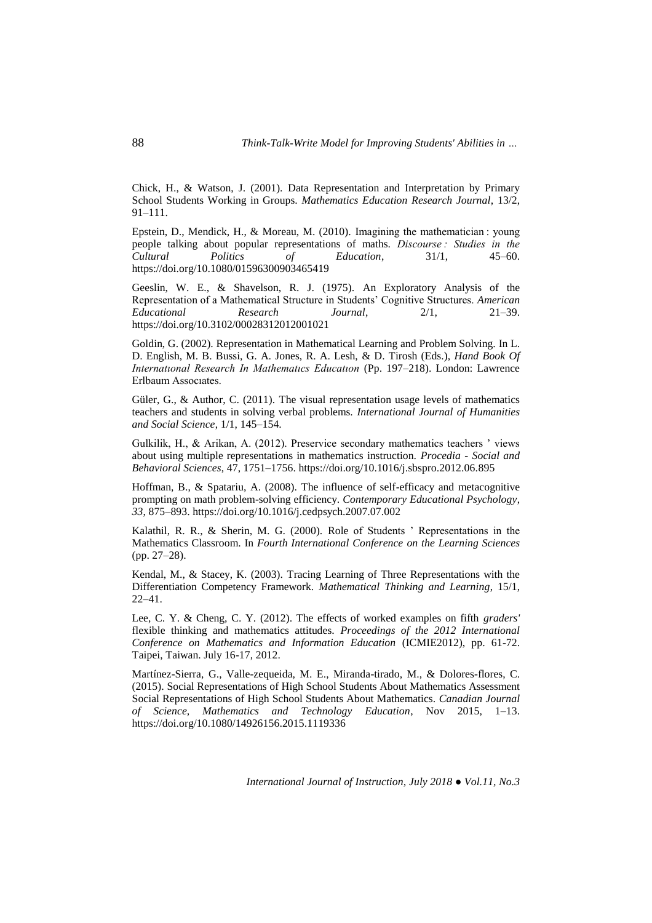Chick, H., & Watson, J. (2001). Data Representation and Interpretation by Primary School Students Working in Groups. *Mathematics Education Research Journal*, 13/2, 91–111.

Epstein, D., Mendick, H., & Moreau, M. (2010). Imagining the mathematician : young people talking about popular representations of maths. *Discourse : Studies in the Cultural Politics of Education*, 31/1, 45–60. https://doi.org/10.1080/01596300903465419

Geeslin, W. E., & Shavelson, R. J. (1975). An Exploratory Analysis of the Representation of a Mathematical Structure in Students' Cognitive Structures. *American Educational Research Journal*, 2/1, 21–39. https://doi.org/10.3102/00028312012001021

Goldin, G. (2002). Representation in Mathematical Learning and Problem Solving. In L. D. English, M. B. Bussi, G. A. Jones, R. A. Lesh, & D. Tirosh (Eds.), *Hand Book Of Internatıonal Research In Mathematıcs Educatıon* (Pp. 197–218). London: Lawrence Erlbaum Assocıates.

Güler, G., & Author, C. (2011). The visual representation usage levels of mathematics teachers and students in solving verbal problems. *International Journal of Humanities and Social Science*, 1/1, 145–154.

Gulkilik, H., & Arikan, A. (2012). Preservice secondary mathematics teachers ' views about using multiple representations in mathematics instruction. *Procedia - Social and Behavioral Sciences*, 47, 1751–1756. https://doi.org/10.1016/j.sbspro.2012.06.895

Hoffman, B., & Spatariu, A. (2008). The influence of self-efficacy and metacognitive prompting on math problem-solving efficiency. *Contemporary Educational Psychology*, *33*, 875–893. https://doi.org/10.1016/j.cedpsych.2007.07.002

Kalathil, R. R., & Sherin, M. G. (2000). Role of Students ' Representations in the Mathematics Classroom. In *Fourth International Conference on the Learning Sciences* (pp. 27–28).

Kendal, M., & Stacey, K. (2003). Tracing Learning of Three Representations with the Differentiation Competency Framework. *Mathematical Thinking and Learning*, 15/1, 22–41.

Lee, C. Y. & Cheng, C. Y. (2012). The effects of worked examples on fifth *graders'* flexible thinking and mathematics attitudes. *Proceedings of the 2012 International Conference on Mathematics and Information Education* (ICMIE2012), pp. 61-72. Taipei, Taiwan. July 16-17, 2012.

Martínez-Sierra, G., Valle-zequeida, M. E., Miranda-tirado, M., & Dolores-flores, C. (2015). Social Representations of High School Students About Mathematics Assessment Social Representations of High School Students About Mathematics. *Canadian Journal of Science, Mathematics and Technology Education*, Nov 2015, 1–13. https://doi.org/10.1080/14926156.2015.1119336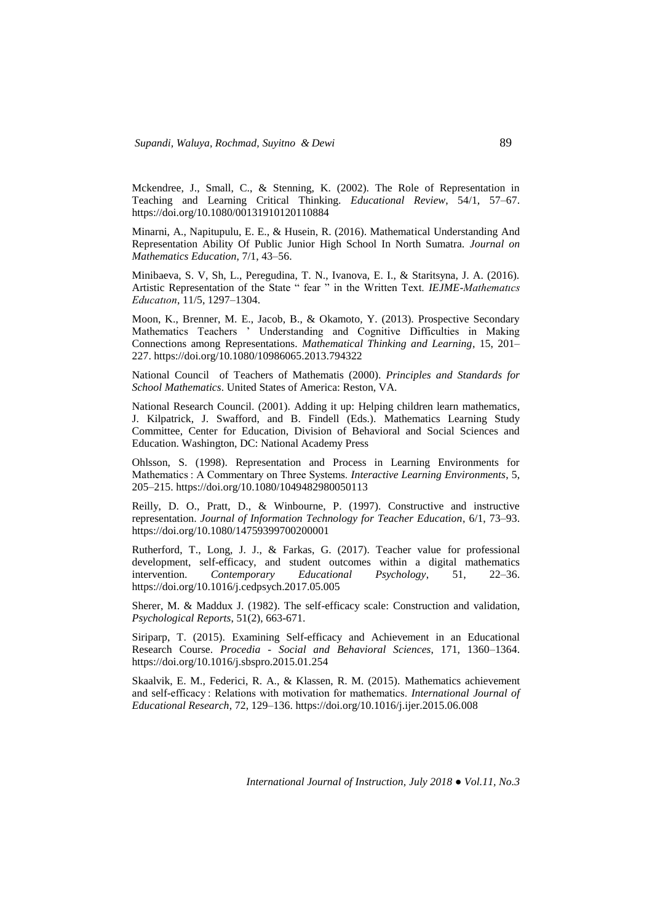Mckendree, J., Small, C., & Stenning, K. (2002). The Role of Representation in Teaching and Learning Critical Thinking. *Educational Review*, 54/1, 57–67. https://doi.org/10.1080/00131910120110884

Minarni, A., Napitupulu, E. E., & Husein, R. (2016). Mathematical Understanding And Representation Ability Of Public Junior High School In North Sumatra. *Journal on Mathematics Education*, 7/1, 43–56.

Minibaeva, S. V, Sh, L., Peregudina, T. N., Ivanova, E. I., & Staritsyna, J. A. (2016). Artistic Representation of the State " fear " in the Written Text. *IEJME-Mathematıcs Educatıon*, 11/5, 1297–1304.

Moon, K., Brenner, M. E., Jacob, B., & Okamoto, Y. (2013). Prospective Secondary Mathematics Teachers ' Understanding and Cognitive Difficulties in Making Connections among Representations. *Mathematical Thinking and Learning*, 15, 201– 227. https://doi.org/10.1080/10986065.2013.794322

National Council of Teachers of Mathematis (2000). *Principles and Standards for School Mathematics*. United States of America: Reston, VA.

National Research Council. (2001). Adding it up: Helping children learn mathematics, J. Kilpatrick, J. Swafford, and B. Findell (Eds.). Mathematics Learning Study Committee, Center for Education, Division of Behavioral and Social Sciences and Education. Washington, DC: National Academy Press

Ohlsson, S. (1998). Representation and Process in Learning Environments for Mathematics : A Commentary on Three Systems. *Interactive Learning Environments*, 5, 205–215. https://doi.org/10.1080/1049482980050113

Reilly, D. O., Pratt, D., & Winbourne, P. (1997). Constructive and instructive representation. *Journal of Information Technology for Teacher Education*, 6/1, 73–93. https://doi.org/10.1080/14759399700200001

Rutherford, T., Long, J. J., & Farkas, G. (2017). Teacher value for professional development, self-efficacy, and student outcomes within a digital mathematics intervention. *Contemporary Educational Psychology*, 51, 22–36. <https://doi.org/10.1016/j.cedpsych.2017.05.005>

Sherer, M. & Maddux J. (1982). The self-efficacy scale: Construction and validation, *Psychological Reports*, 51(2), 663-671.

Siriparp, T. (2015). Examining Self-efficacy and Achievement in an Educational Research Course. *Procedia - Social and Behavioral Sciences*, 171, 1360–1364. https://doi.org/10.1016/j.sbspro.2015.01.254

Skaalvik, E. M., Federici, R. A., & Klassen, R. M. (2015). Mathematics achievement and self-efficacy : Relations with motivation for mathematics. *International Journal of Educational Research*, 72, 129–136[. https://doi.org/10.1016/j.ijer.2015.06.008](https://doi.org/10.1016/j.ijer.2015.06.008)